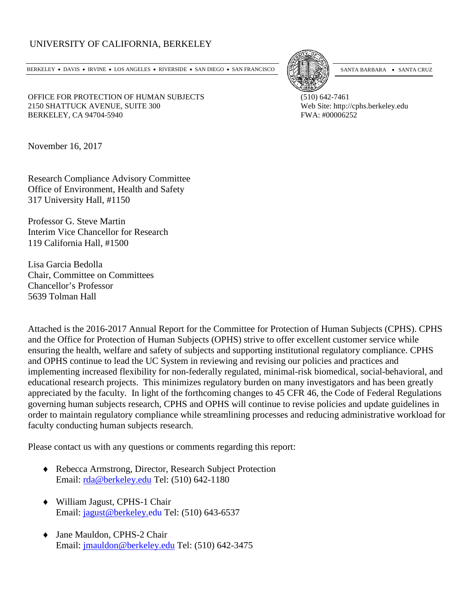## UNIVERSITY OF CALIFORNIA, BERKELEY

BERKELEY • DAVIS • IRVINE • LOS ANGELES • RIVERSIDE • SAN DIEGO • SAN FRANCISCO [54] SANTA BARBARA • SANTA CRUZ



OFFICE FOR PROTECTION OF HUMAN SUBJECTS (510) 642-7461 2150 SHATTUCK AVENUE, SUITE 300 Web Site: http://cphs.berkeley.edu BERKELEY, CA 94704-5940 **FWA: #00006252** 

November 16, 2017

Research Compliance Advisory Committee Office of Environment, Health and Safety 317 University Hall, #1150

Professor G. Steve Martin Interim Vice Chancellor for Research 119 California Hall, #1500

Lisa Garcia Bedolla Chair, Committee on Committees Chancellor's Professor 5639 Tolman Hall

Attached is the 2016-2017 Annual Report for the Committee for Protection of Human Subjects (CPHS). CPHS and the Office for Protection of Human Subjects (OPHS) strive to offer excellent customer service while ensuring the health, welfare and safety of subjects and supporting institutional regulatory compliance. CPHS and OPHS continue to lead the UC System in reviewing and revising our policies and practices and implementing increased flexibility for non-federally regulated, minimal-risk biomedical, social-behavioral, and educational research projects. This minimizes regulatory burden on many investigators and has been greatly appreciated by the faculty. In light of the forthcoming changes to 45 CFR 46, the Code of Federal Regulations governing human subjects research, CPHS and OPHS will continue to revise policies and update guidelines in order to maintain regulatory compliance while streamlining processes and reducing administrative workload for faculty conducting human subjects research.

Please contact us with any questions or comments regarding this report:

- ♦ Rebecca Armstrong, Director, Research Subject Protection Email: [rda@berkeley.edu](mailto:rda@berkeley.edu) Tel: (510) 642-1180
- ♦ William Jagust, CPHS-1 Chair Email: [jagust@berkeley.edu](mailto:jagust@berkeley.edu) Tel: (510) 643-6537
- ♦ Jane Mauldon, CPHS-2 Chair Email: [jmauldon@berkeley.edu](mailto:jmauldon@berkeley.edu) Tel: (510) 642-3475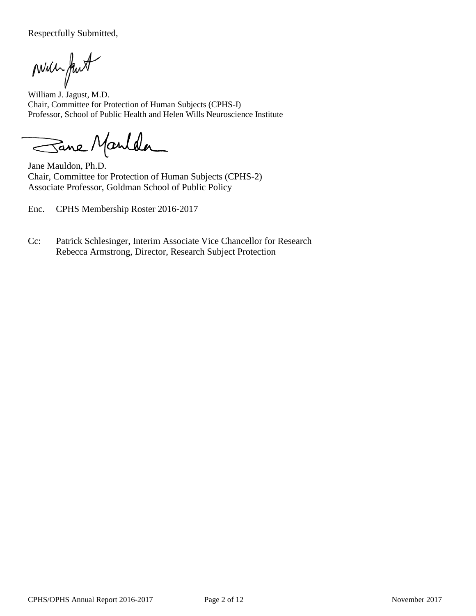Respectfully Submitted,

Will fut

William J. Jagust, M.D. Chair, Committee for Protection of Human Subjects (CPHS-I) Professor, School of Public Health and Helen Wills Neuroscience Institute

Sane Manlder

Jane Mauldon, Ph.D. Chair, Committee for Protection of Human Subjects (CPHS-2) Associate Professor, Goldman School of Public Policy

Enc. CPHS Membership Roster 2016-2017

Cc: Patrick Schlesinger, Interim Associate Vice Chancellor for Research Rebecca Armstrong, Director, Research Subject Protection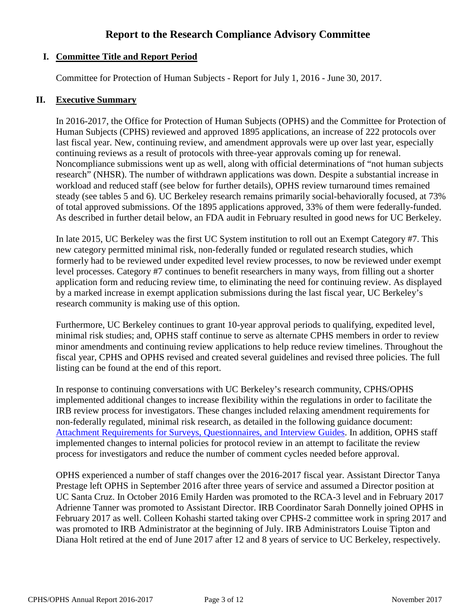# **Report to the Research Compliance Advisory Committee**

## **I. Committee Title and Report Period**

Committee for Protection of Human Subjects - Report for July 1, 2016 - June 30, 2017.

## **II. Executive Summary**

In 2016-2017, the Office for Protection of Human Subjects (OPHS) and the Committee for Protection of Human Subjects (CPHS) reviewed and approved 1895 applications, an increase of 222 protocols over last fiscal year. New, continuing review, and amendment approvals were up over last year, especially continuing reviews as a result of protocols with three-year approvals coming up for renewal. Noncompliance submissions went up as well, along with official determinations of "not human subjects research" (NHSR). The number of withdrawn applications was down. Despite a substantial increase in workload and reduced staff (see below for further details), OPHS review turnaround times remained steady (see tables 5 and 6). UC Berkeley research remains primarily social-behaviorally focused, at 73% of total approved submissions. Of the 1895 applications approved, 33% of them were federally-funded. As described in further detail below, an FDA audit in February resulted in good news for UC Berkeley.

In late 2015, UC Berkeley was the first UC System institution to roll out an Exempt Category #7. This new category permitted minimal risk, non-federally funded or regulated research studies, which formerly had to be reviewed under expedited level review processes, to now be reviewed under exempt level processes. Category #7 continues to benefit researchers in many ways, from filling out a shorter application form and reducing review time, to eliminating the need for continuing review. As displayed by a marked increase in exempt application submissions during the last fiscal year, UC Berkeley's research community is making use of this option.

Furthermore, UC Berkeley continues to grant 10-year approval periods to qualifying, expedited level, minimal risk studies; and, OPHS staff continue to serve as alternate CPHS members in order to review minor amendments and continuing review applications to help reduce review timelines. Throughout the fiscal year, CPHS and OPHS revised and created several guidelines and revised three policies. The full listing can be found at the end of this report.

In response to continuing conversations with UC Berkeley's research community, CPHS/OPHS implemented additional changes to increase flexibility within the regulations in order to facilitate the IRB review process for investigators. These changes included relaxing amendment requirements for non-federally regulated, minimal risk research, as detailed in the following guidance document: [Attachment Requirements for Surveys, Questionnaires, and Interview Guides.](http://cphs.berkeley.edu/attachment.pdf) In addition, OPHS staff implemented changes to internal policies for protocol review in an attempt to facilitate the review process for investigators and reduce the number of comment cycles needed before approval.

OPHS experienced a number of staff changes over the 2016-2017 fiscal year. Assistant Director Tanya Prestage left OPHS in September 2016 after three years of service and assumed a Director position at UC Santa Cruz. In October 2016 Emily Harden was promoted to the RCA-3 level and in February 2017 Adrienne Tanner was promoted to Assistant Director. IRB Coordinator Sarah Donnelly joined OPHS in February 2017 as well. Colleen Kohashi started taking over CPHS-2 committee work in spring 2017 and was promoted to IRB Administrator at the beginning of July. IRB Administrators Louise Tipton and Diana Holt retired at the end of June 2017 after 12 and 8 years of service to UC Berkeley, respectively.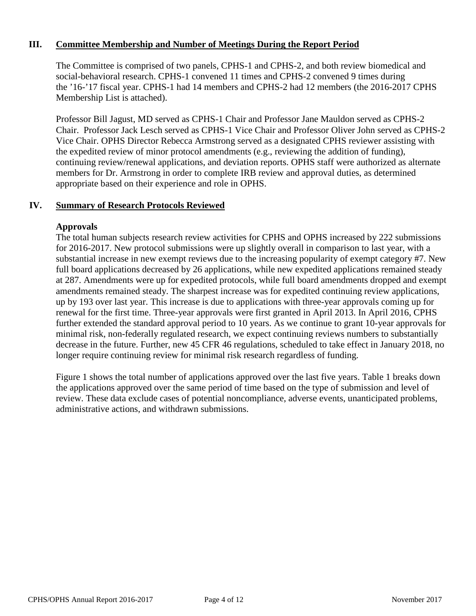## **III. Committee Membership and Number of Meetings During the Report Period**

The Committee is comprised of two panels, CPHS-1 and CPHS-2, and both review biomedical and social-behavioral research. CPHS-1 convened 11 times and CPHS-2 convened 9 times during the '16-'17 fiscal year. CPHS-1 had 14 members and CPHS-2 had 12 members (the 2016-2017 CPHS Membership List is attached).

Professor Bill Jagust, MD served as CPHS-1 Chair and Professor Jane Mauldon served as CPHS-2 Chair. Professor Jack Lesch served as CPHS-1 Vice Chair and Professor Oliver John served as CPHS-2 Vice Chair. OPHS Director Rebecca Armstrong served as a designated CPHS reviewer assisting with the expedited review of minor protocol amendments (e.g., reviewing the addition of funding), continuing review/renewal applications, and deviation reports. OPHS staff were authorized as alternate members for Dr. Armstrong in order to complete IRB review and approval duties, as determined appropriate based on their experience and role in OPHS.

## **IV. Summary of Research Protocols Reviewed**

#### **Approvals**

The total human subjects research review activities for CPHS and OPHS increased by 222 submissions for 2016-2017. New protocol submissions were up slightly overall in comparison to last year, with a substantial increase in new exempt reviews due to the increasing popularity of exempt category #7. New full board applications decreased by 26 applications, while new expedited applications remained steady at 287. Amendments were up for expedited protocols, while full board amendments dropped and exempt amendments remained steady. The sharpest increase was for expedited continuing review applications, up by 193 over last year. This increase is due to applications with three-year approvals coming up for renewal for the first time. Three-year approvals were first granted in April 2013. In April 2016, CPHS further extended the standard approval period to 10 years. As we continue to grant 10-year approvals for minimal risk, non-federally regulated research, we expect continuing reviews numbers to substantially decrease in the future. Further, new 45 CFR 46 regulations, scheduled to take effect in January 2018, no longer require continuing review for minimal risk research regardless of funding.

Figure 1 shows the total number of applications approved over the last five years. Table 1 breaks down the applications approved over the same period of time based on the type of submission and level of review. These data exclude cases of potential noncompliance, adverse events, unanticipated problems, administrative actions, and withdrawn submissions.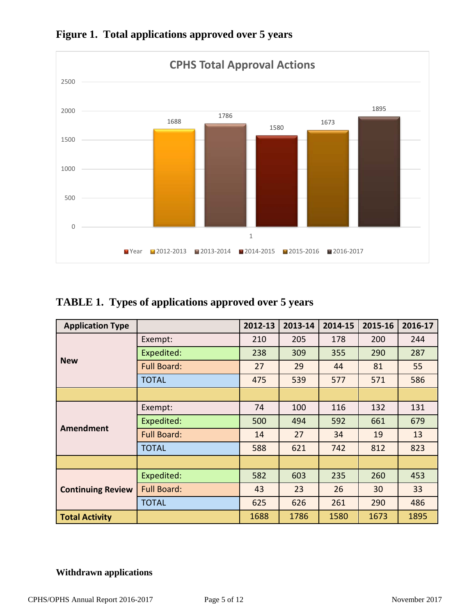

**Figure 1. Total applications approved over 5 years**

# **TABLE 1. Types of applications approved over 5 years**

| <b>Application Type</b>  |                    | 2012-13 | 2013-14 | 2014-15 | 2015-16 | 2016-17 |
|--------------------------|--------------------|---------|---------|---------|---------|---------|
|                          | Exempt:            | 210     | 205     | 178     | 200     | 244     |
|                          | Expedited:         | 238     | 309     | 355     | 290     | 287     |
| <b>New</b>               | <b>Full Board:</b> | 27      | 29      | 44      | 81      | 55      |
|                          | <b>TOTAL</b>       | 475     | 539     | 577     | 571     | 586     |
|                          |                    |         |         |         |         |         |
|                          | Exempt:            | 74      | 100     | 116     | 132     | 131     |
|                          | Expedited:         | 500     | 494     | 592     | 661     | 679     |
| <b>Amendment</b>         | <b>Full Board:</b> | 14      | 27      | 34      | 19      | 13      |
|                          | <b>TOTAL</b>       | 588     | 621     | 742     | 812     | 823     |
|                          |                    |         |         |         |         |         |
|                          | Expedited:         | 582     | 603     | 235     | 260     | 453     |
| <b>Continuing Review</b> | <b>Full Board:</b> | 43      | 23      | 26      | 30      | 33      |
|                          | <b>TOTAL</b>       | 625     | 626     | 261     | 290     | 486     |
| <b>Total Activity</b>    |                    | 1688    | 1786    | 1580    | 1673    | 1895    |

# **Withdrawn applications**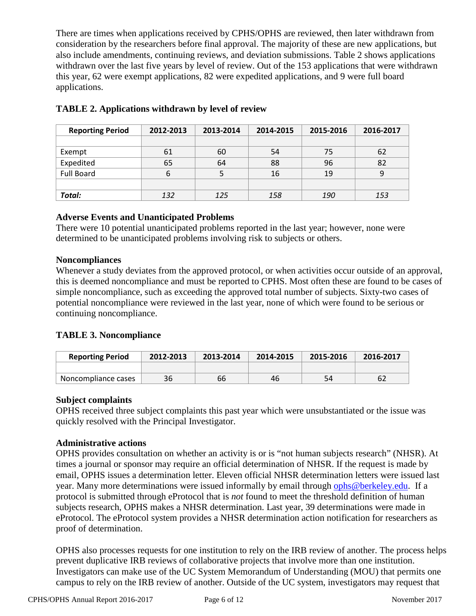There are times when applications received by CPHS/OPHS are reviewed, then later withdrawn from consideration by the researchers before final approval. The majority of these are new applications, but also include amendments, continuing reviews, and deviation submissions. Table 2 shows applications withdrawn over the last five years by level of review. Out of the 153 applications that were withdrawn this year, 62 were exempt applications, 82 were expedited applications, and 9 were full board applications.

| <b>Reporting Period</b> | 2012-2013 | 2013-2014 | 2014-2015 | 2015-2016 | 2016-2017 |
|-------------------------|-----------|-----------|-----------|-----------|-----------|
|                         |           |           |           |           |           |
| Exempt                  | 61        | 60        | 54        | 75        | 62        |
| Expedited               | 65        | 64        | 88        | 96        | 82        |
| <b>Full Board</b>       | 6         |           | 16        | 19        |           |
|                         |           |           |           |           |           |
| Total:                  | 132       | 125       | 158       | 190       | 153       |

# **TABLE 2. Applications withdrawn by level of review**

## **Adverse Events and Unanticipated Problems**

There were 10 potential unanticipated problems reported in the last year; however, none were determined to be unanticipated problems involving risk to subjects or others.

#### **Noncompliances**

Whenever a study deviates from the approved protocol, or when activities occur outside of an approval, this is deemed noncompliance and must be reported to CPHS. Most often these are found to be cases of simple noncompliance, such as exceeding the approved total number of subjects. Sixty-two cases of potential noncompliance were reviewed in the last year, none of which were found to be serious or continuing noncompliance.

## **TABLE 3. Noncompliance**

| <b>Reporting Period</b> | 2012-2013 | 2013-2014 | 2014-2015 | 2015-2016 | 2016-2017 |
|-------------------------|-----------|-----------|-----------|-----------|-----------|
|                         |           |           |           |           |           |
| Noncompliance cases     | 36        | 66        | 46        | 54        |           |

## **Subject complaints**

OPHS received three subject complaints this past year which were unsubstantiated or the issue was quickly resolved with the Principal Investigator.

## **Administrative actions**

OPHS provides consultation on whether an activity is or is "not human subjects research" (NHSR). At times a journal or sponsor may require an official determination of NHSR. If the request is made by email, OPHS issues a determination letter. Eleven official NHSR determination letters were issued last year. Many more determinations were issued informally by email through [ophs@berkeley.edu.](mailto:ophs@berkeley.edu) If a protocol is submitted through eProtocol that is *not* found to meet the threshold definition of human subjects research, OPHS makes a NHSR determination. Last year, 39 determinations were made in eProtocol. The eProtocol system provides a NHSR determination action notification for researchers as proof of determination.

OPHS also processes requests for one institution to rely on the IRB review of another. The process helps prevent duplicative IRB reviews of collaborative projects that involve more than one institution. Investigators can make use of the UC System Memorandum of Understanding (MOU) that permits one campus to rely on the IRB review of another. Outside of the UC system, investigators may request that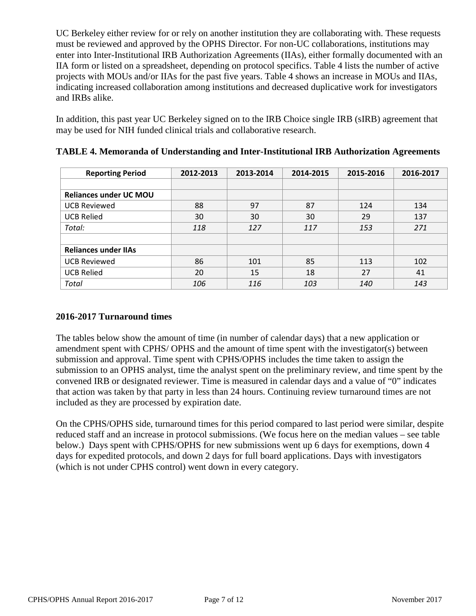UC Berkeley either review for or rely on another institution they are collaborating with. These requests must be reviewed and approved by the OPHS Director. For non-UC collaborations, institutions may enter into Inter-Institutional IRB Authorization Agreements (IIAs), either formally documented with an IIA form or listed on a spreadsheet, depending on protocol specifics. Table 4 lists the number of active projects with MOUs and/or IIAs for the past five years. Table 4 shows an increase in MOUs and IIAs, indicating increased collaboration among institutions and decreased duplicative work for investigators and IRBs alike.

In addition, this past year UC Berkeley signed on to the IRB Choice single IRB (sIRB) agreement that may be used for NIH funded clinical trials and collaborative research.

| <b>Reporting Period</b>       | 2012-2013 | 2013-2014 | 2014-2015 | 2015-2016 | 2016-2017 |
|-------------------------------|-----------|-----------|-----------|-----------|-----------|
|                               |           |           |           |           |           |
| <b>Reliances under UC MOU</b> |           |           |           |           |           |
| <b>UCB Reviewed</b>           | 88        | 97        | 87        | 124       | 134       |
| <b>UCB Relied</b>             | 30        | 30        | 30        | 29        | 137       |
| Total:                        | 118       | 127       | 117       | 153       | 271       |
|                               |           |           |           |           |           |
| <b>Reliances under IIAs</b>   |           |           |           |           |           |
| <b>UCB Reviewed</b>           | 86        | 101       | 85        | 113       | 102       |
| <b>UCB Relied</b>             | 20        | 15        | 18        | 27        | 41        |
| Total                         | 106       | 116       | 103       | 140       | 143       |

**TABLE 4. Memoranda of Understanding and Inter-Institutional IRB Authorization Agreements**

## **2016-2017 Turnaround times**

The tables below show the amount of time (in number of calendar days) that a new application or amendment spent with CPHS/ OPHS and the amount of time spent with the investigator(s) between submission and approval. Time spent with CPHS/OPHS includes the time taken to assign the submission to an OPHS analyst, time the analyst spent on the preliminary review, and time spent by the convened IRB or designated reviewer. Time is measured in calendar days and a value of "0" indicates that action was taken by that party in less than 24 hours. Continuing review turnaround times are not included as they are processed by expiration date.

On the CPHS/OPHS side, turnaround times for this period compared to last period were similar, despite reduced staff and an increase in protocol submissions. (We focus here on the median values – see table below.) Days spent with CPHS/OPHS for new submissions went up 6 days for exemptions, down 4 days for expedited protocols, and down 2 days for full board applications. Days with investigators (which is not under CPHS control) went down in every category.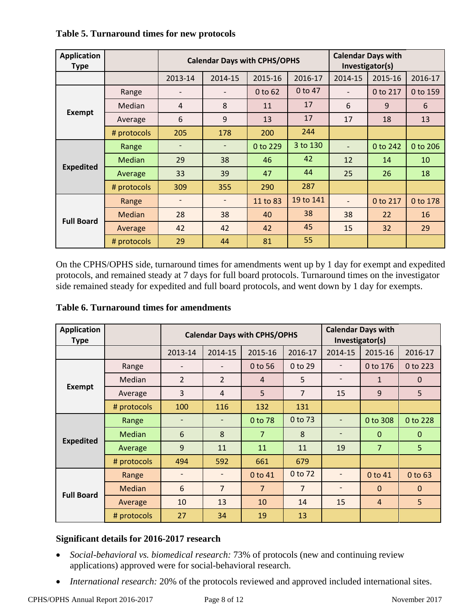| <b>Application</b><br><b>Type</b> |               | <b>Calendar Days with CPHS/OPHS</b> |                              |          |           | <b>Calendar Days with</b><br>Investigator(s) |          |          |
|-----------------------------------|---------------|-------------------------------------|------------------------------|----------|-----------|----------------------------------------------|----------|----------|
|                                   |               | 2013-14                             | 2014-15                      | 2015-16  | 2016-17   | 2014-15                                      | 2015-16  | 2016-17  |
|                                   | Range         |                                     |                              | 0 to 62  | 0 to 47   |                                              | 0 to 217 | 0 to 159 |
|                                   | Median        | $\overline{4}$                      | 8                            | 11       | 17        | 6                                            | 9        | 6        |
| <b>Exempt</b>                     | Average       | 6                                   | 9                            | 13       | 17        | 17                                           | 18       | 13       |
|                                   | # protocols   | 205                                 | 178                          | 200      | 244       |                                              |          |          |
|                                   | Range         |                                     | $\overline{\phantom{a}}$     | 0 to 229 | 3 to 130  | $\overline{a}$                               | 0 to 242 | 0 to 206 |
|                                   | <b>Median</b> | 29                                  | 38                           | 46       | 42        | 12                                           | 14       | 10       |
| <b>Expedited</b>                  | Average       | 33                                  | 39                           | 47       | 44        | 25                                           | 26       | 18       |
|                                   | # protocols   | 309                                 | 355                          | 290      | 287       |                                              |          |          |
|                                   | Range         |                                     | $\qquad \qquad \blacksquare$ | 11 to 83 | 19 to 141 |                                              | 0 to 217 | 0 to 178 |
|                                   | <b>Median</b> | 28                                  | 38                           | 40       | 38        | 38                                           | 22       | 16       |
| <b>Full Board</b>                 | Average       | 42                                  | 42                           | 42       | 45        | 15                                           | 32       | 29       |
|                                   | # protocols   | 29                                  | 44                           | 81       | 55        |                                              |          |          |

## **Table 5. Turnaround times for new protocols**

On the CPHS/OPHS side, turnaround times for amendments went up by 1 day for exempt and expedited protocols, and remained steady at 7 days for full board protocols. Turnaround times on the investigator side remained steady for expedited and full board protocols, and went down by 1 day for exempts.

## **Table 6. Turnaround times for amendments**

| <b>Application</b><br><b>Type</b> |             | <b>Calendar Days with CPHS/OPHS</b> |                          |                | <b>Calendar Days with</b><br>Investigator(s) |                              |                |                |
|-----------------------------------|-------------|-------------------------------------|--------------------------|----------------|----------------------------------------------|------------------------------|----------------|----------------|
|                                   |             | 2013-14                             | 2014-15                  | 2015-16        | 2016-17                                      | 2014-15                      | 2015-16        | 2016-17        |
|                                   | Range       | $\overline{a}$                      | $\overline{\phantom{0}}$ | 0 to 56        | $0$ to 29                                    |                              | 0 to 176       | 0 to 223       |
|                                   | Median      | $\overline{2}$                      | $\overline{2}$           | 4              | 5                                            | $\qquad \qquad \blacksquare$ | 1              | $\mathbf{0}$   |
| <b>Exempt</b>                     | Average     | $\overline{3}$                      | $\overline{4}$           | 5              | $\overline{7}$                               | 15                           | 9              | 5              |
|                                   | # protocols | 100                                 | 116                      | 132            | 131                                          |                              |                |                |
|                                   | Range       | $\qquad \qquad \blacksquare$        | $\overline{\phantom{a}}$ | 0 to 78        | 0 to 73                                      |                              | 0 to 308       | 0 to 228       |
|                                   | Median      | 6                                   | 8                        | 7              | 8                                            | $\qquad \qquad$              | $\Omega$       | $\mathbf{0}$   |
| <b>Expedited</b>                  | Average     | 9                                   | 11                       | 11             | 11                                           | 19                           | $\overline{7}$ | 5              |
|                                   | # protocols | 494                                 | 592                      | 661            | 679                                          |                              |                |                |
|                                   | Range       |                                     |                          | 0 to 41        | 0 to 72                                      |                              | 0 to 41        | 0 to 63        |
|                                   | Median      | $6\phantom{1}$                      | $\overline{7}$           | $\overline{7}$ | $\overline{7}$                               |                              | $\mathbf{0}$   | $\mathbf{0}$   |
| <b>Full Board</b>                 | Average     | 10                                  | 13                       | 10             | 14                                           | 15                           | $\overline{4}$ | 5 <sup>1</sup> |
|                                   | # protocols | 27                                  | 34                       | 19             | 13                                           |                              |                |                |

## **Significant details for 2016-2017 research**

- *Social-behavioral vs. biomedical research:* 73% of protocols (new and continuing review applications) approved were for social-behavioral research.
- *International research:* 20% of the protocols reviewed and approved included international sites.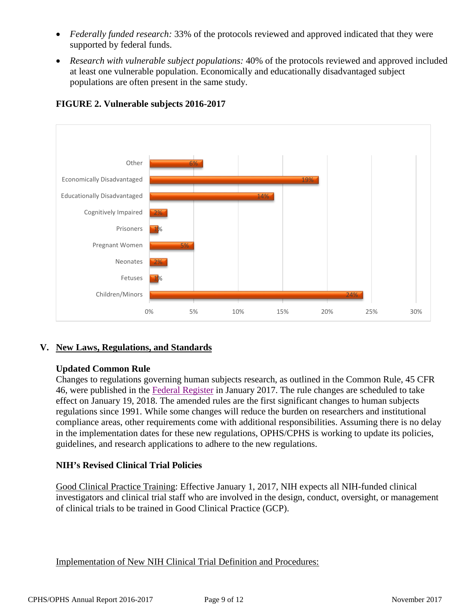- *Federally funded research:* 33% of the protocols reviewed and approved indicated that they were supported by federal funds.
- *Research with vulnerable subject populations:* 40% of the protocols reviewed and approved included at least one vulnerable population. Economically and educationally disadvantaged subject populations are often present in the same study.



# **FIGURE 2. Vulnerable subjects 2016-2017**

## **V. New Laws, Regulations, and Standards**

#### **Updated Common Rule**

Changes to regulations governing human subjects research, as outlined in the Common Rule, 45 CFR 46, were published in the [Federal Register](https://www.hhs.gov/ohrp/regulations-and-policy/regulations/finalized-revisions-common-rule/index.html) in January 2017. The rule changes are scheduled to take effect on January 19, 2018. The amended rules are the first significant changes to human subjects regulations since 1991. While some changes will reduce the burden on researchers and institutional compliance areas, other requirements come with additional responsibilities. Assuming there is no delay in the implementation dates for these new regulations, OPHS/CPHS is working to update its policies, guidelines, and research applications to adhere to the new regulations.

#### **NIH's Revised Clinical Trial Policies**

Good Clinical Practice Training: Effective January 1, 2017, NIH expects all NIH-funded clinical investigators and clinical trial staff who are involved in the design, conduct, oversight, or management of clinical trials to be trained in Good Clinical Practice (GCP).

Implementation of New NIH Clinical Trial Definition and Procedures: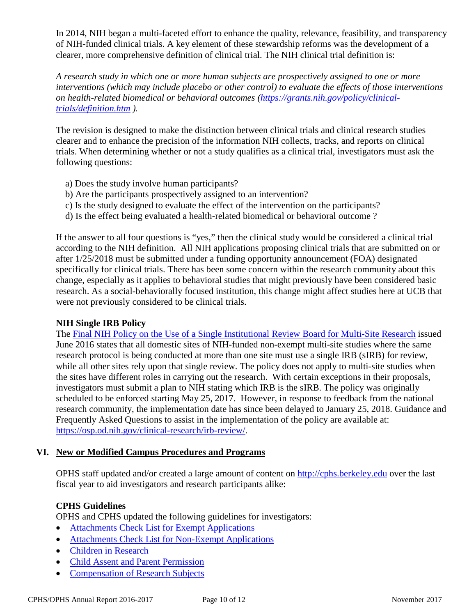In 2014, NIH began a multi-faceted effort to enhance the quality, relevance, feasibility, and transparency of NIH-funded clinical trials. A key element of these stewardship reforms was the development of a clearer, more comprehensive definition of clinical trial. The NIH clinical trial definition is:

*A research study in which one or more human subjects are prospectively assigned to one or more interventions (which may include placebo or other control) to evaluate the effects of those interventions on health-related biomedical or behavioral outcomes [\(https://grants.nih.gov/policy/clinical](https://grants.nih.gov/policy/clinical-trials/definition.htm)[trials/definition.htm](https://grants.nih.gov/policy/clinical-trials/definition.htm) ).*

The revision is designed to make the distinction between clinical trials and clinical research studies clearer and to enhance the precision of the information NIH collects, tracks, and reports on clinical trials. When determining whether or not a study qualifies as a clinical trial, investigators must ask the following questions:

- a) Does the study involve human participants?
- b) Are the participants prospectively assigned to an intervention?
- c) Is the study designed to evaluate the effect of the intervention on the participants?
- d) Is the effect being evaluated a health-related biomedical or behavioral outcome ?

If the answer to all four questions is "yes," then the clinical study would be considered a clinical trial according to the NIH definition. All NIH applications proposing clinical trials that are submitted on or after 1/25/2018 must be submitted under a funding opportunity announcement (FOA) designated specifically for clinical trials. There has been some concern within the research community about this change, especially as it applies to behavioral studies that might previously have been considered basic research. As a social-behaviorally focused institution, this change might affect studies here at UCB that were not previously considered to be clinical trials.

#### **NIH Single IRB Policy**

The [Final NIH Policy on the Use of a Single Institutional Review Board for Multi-Site Research](https://www.federalregister.gov/articles/2016/06/21/2016-14513/policy-on-the-use-of-a-single-institutional-review-board-for-multi-site-research) issued June 2016 states that all domestic sites of NIH-funded non-exempt multi-site studies where the same research protocol is being conducted at more than one site must use a single IRB (sIRB) for review, while all other sites rely upon that single review. The policy does not apply to multi-site studies when the sites have different roles in carrying out the research. With certain exceptions in their proposals, investigators must submit a plan to NIH stating which IRB is the sIRB. The policy was originally scheduled to be enforced starting May 25, 2017. However, in response to feedback from the national research community, the implementation date has since been delayed to January 25, 2018. Guidance and Frequently Asked Questions to assist in the implementation of the policy are available at: [https://osp.od.nih.gov/clinical-research/irb-review/.](https://osp.od.nih.gov/clinical-research/irb-review/)

#### **VI. New or Modified Campus Procedures and Programs**

OPHS staff updated and/or created a large amount of content on [http://cphs.berkeley.edu](http://cphs.berkeley.edu/) over the last fiscal year to aid investigators and research participants alike:

#### **CPHS Guidelines**

OPHS and CPHS updated the following guidelines for investigators:

- [Attachments Check List for Exempt Applications](http://cphs.berkeley.edu/eprotocol_attachments_exempt.pdf)
- [Attachments Check List for Non-Exempt Applications](http://cphs.berkeley.edu/eprotocol_attachments_nonexempt.pdf)
- [Children in Research](http://cphs.berkeley.edu/children_research.pdf)
- [Child Assent and Parent Permission](http://cphs.berkeley.edu/assent_permission.pdf)
- [Compensation of Research Subjects](http://cphs.berkeley.edu/compensation.pdf)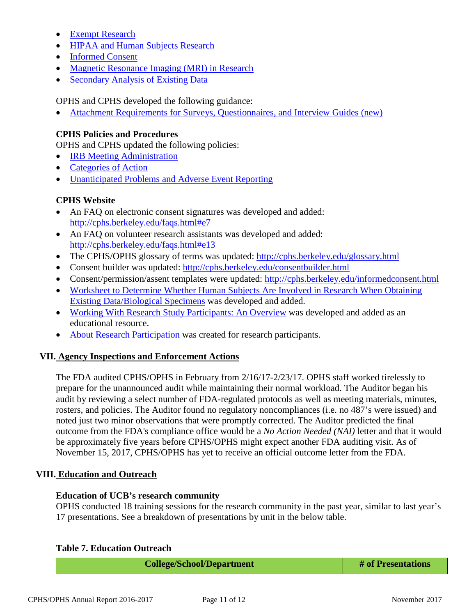- [Exempt Research](http://cphs.berkeley.edu/exempt.pdf)
- [HIPAA and Human Subjects Research](http://cphs.berkeley.edu/hipaa.pdf)
- [Informed Consent](http://cphs.berkeley.edu/informedconsent.html)
- [Magnetic Resonance Imaging \(MRI\) in Research](http://cphs.berkeley.edu/mri.pdf)
- [Secondary Analysis of Existing Data](http://cphs.berkeley.edu/secondarydata.pdf)

OPHS and CPHS developed the following guidance:

• [Attachment Requirements for Surveys, Questionnaires, and Interview Guides](http://cphs.berkeley.edu/attachment.pdf) (new)

#### **CPHS Policies and Procedures**

OPHS and CPHS updated the following policies:

- **[IRB Meeting Administration](http://cphs.berkeley.edu/policies_procedures/fo303.pdf)**
- [Categories of Action](http://cphs.berkeley.edu/policies_procedures/rr407.pdf)
- [Unanticipated Problems and Adverse Event Reporting](http://cphs.berkeley.edu/policies_procedures/rr408.pdf)

#### **CPHS Website**

- An FAQ on electronic consent signatures was developed and added: <http://cphs.berkeley.edu/faqs.html#e7>
- An FAQ on volunteer research assistants was developed and added: <http://cphs.berkeley.edu/faqs.html#e13>
- The CPHS/OPHS glossary of terms was updated:<http://cphs.berkeley.edu/glossary.html>
- Consent builder was updated:<http://cphs.berkeley.edu/consentbuilder.html>
- Consent/permission/assent templates were updated:<http://cphs.berkeley.edu/informedconsent.html>
- Worksheet to Determine Whether Human Subjects Are Involved in Research When Obtaining [Existing Data/Biological Specimens](http://cphs.berkeley.edu/secondarydata_worksheet.pdf) was developed and added.
- [Working With Research Study Participants: An Overview](http://cphs.berkeley.edu/working_humansubjects_presentation.ppt) was developed and added as an educational resource.
- [About Research Participation](http://cphs.berkeley.edu/ohrp_research_participation.html) was created for research participants.

## **VII. Agency Inspections and Enforcement Actions**

The FDA audited CPHS/OPHS in February from 2/16/17-2/23/17. OPHS staff worked tirelessly to prepare for the unannounced audit while maintaining their normal workload. The Auditor began his audit by reviewing a select number of FDA-regulated protocols as well as meeting materials, minutes, rosters, and policies. The Auditor found no regulatory noncompliances (i.e. no 487's were issued) and noted just two minor observations that were promptly corrected. The Auditor predicted the final outcome from the FDA's compliance office would be a *No Action Needed (NAI)* letter and that it would be approximately five years before CPHS/OPHS might expect another FDA auditing visit. As of November 15, 2017, CPHS/OPHS has yet to receive an official outcome letter from the FDA.

#### **VIII. Education and Outreach**

#### **Education of UCB's research community**

OPHS conducted 18 training sessions for the research community in the past year, similar to last year's 17 presentations. See a breakdown of presentations by unit in the below table.

#### **Table 7. Education Outreach**

| <b>College/School/Department</b> | # of Presentations |
|----------------------------------|--------------------|
|----------------------------------|--------------------|